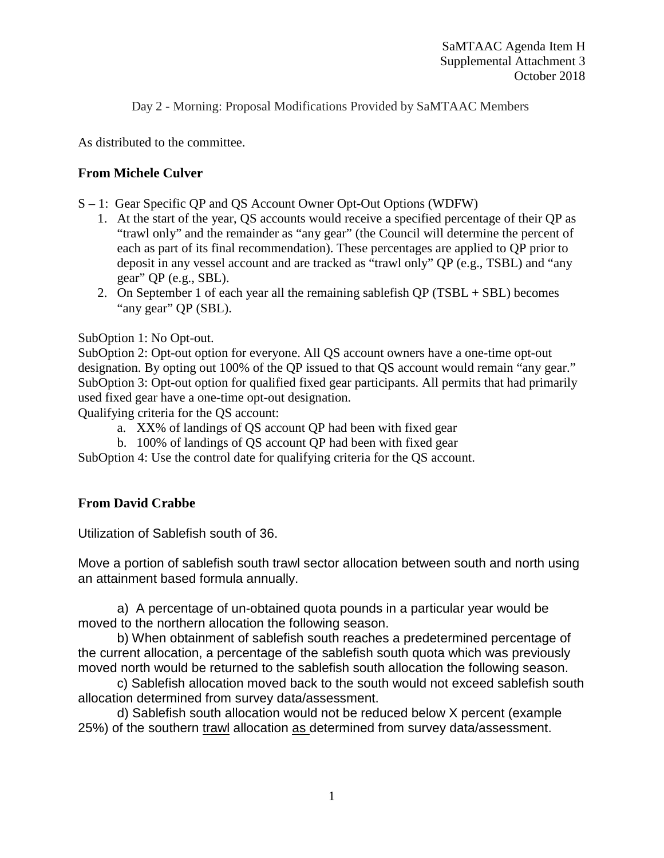Day 2 - Morning: Proposal Modifications Provided by SaMTAAC Members

As distributed to the committee.

### **From Michele Culver**

- S 1: Gear Specific QP and QS Account Owner Opt-Out Options (WDFW)
	- 1. At the start of the year, QS accounts would receive a specified percentage of their QP as "trawl only" and the remainder as "any gear" (the Council will determine the percent of each as part of its final recommendation). These percentages are applied to QP prior to deposit in any vessel account and are tracked as "trawl only" QP (e.g., TSBL) and "any gear" QP (e.g., SBL).
	- 2. On September 1 of each year all the remaining sable fish  $QP (TSBL + SBL)$  becomes "any gear" QP (SBL).

SubOption 1: No Opt-out.

SubOption 2: Opt-out option for everyone. All QS account owners have a one-time opt-out designation. By opting out 100% of the QP issued to that QS account would remain "any gear." SubOption 3: Opt-out option for qualified fixed gear participants. All permits that had primarily used fixed gear have a one-time opt-out designation.

Qualifying criteria for the QS account:

- a. XX% of landings of QS account QP had been with fixed gear
- b. 100% of landings of QS account QP had been with fixed gear

SubOption 4: Use the control date for qualifying criteria for the QS account.

### **From David Crabbe**

Utilization of Sablefish south of 36.

Move a portion of sablefish south trawl sector allocation between south and north using an attainment based formula annually.

a) A percentage of un-obtained quota pounds in a particular year would be moved to the northern allocation the following season.

b) When obtainment of sablefish south reaches a predetermined percentage of the current allocation, a percentage of the sablefish south quota which was previously moved north would be returned to the sablefish south allocation the following season.

c) Sablefish allocation moved back to the south would not exceed sablefish south allocation determined from survey data/assessment.

d) Sablefish south allocation would not be reduced below X percent (example 25%) of the southern trawl allocation as determined from survey data/assessment.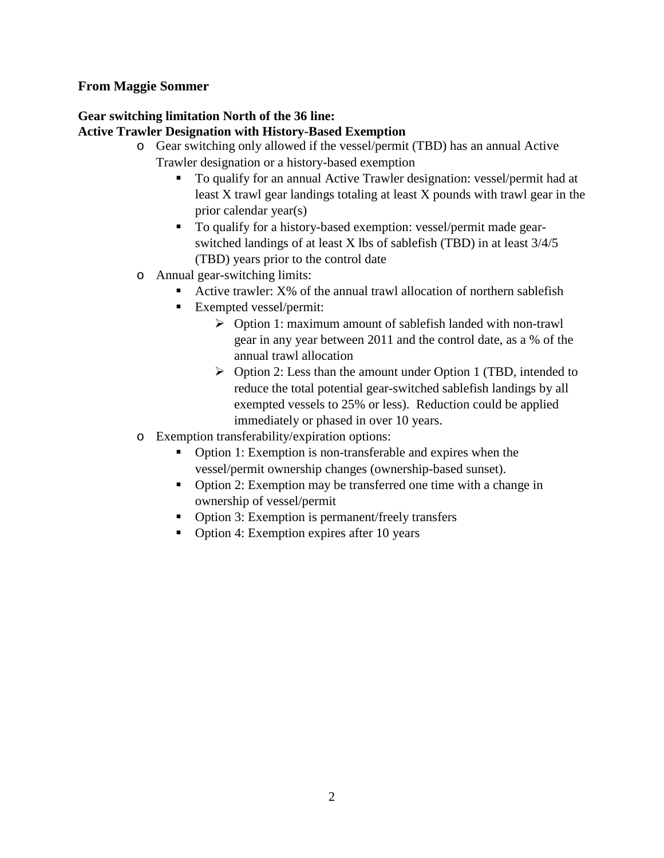### **From Maggie Sommer**

# **Gear switching limitation North of the 36 line:**

## **Active Trawler Designation with History-Based Exemption**

- o Gear switching only allowed if the vessel/permit (TBD) has an annual Active Trawler designation or a history-based exemption
	- To qualify for an annual Active Trawler designation: vessel/permit had at least X trawl gear landings totaling at least X pounds with trawl gear in the prior calendar year(s)
	- To qualify for a history-based exemption: vessel/permit made gearswitched landings of at least X lbs of sablefish (TBD) in at least 3/4/5 (TBD) years prior to the control date
- o Annual gear-switching limits:
	- Active trawler: X% of the annual trawl allocation of northern sablefish
	- Exempted vessel/permit:
		- $\triangleright$  Option 1: maximum amount of sablefish landed with non-trawl gear in any year between 2011 and the control date, as a % of the annual trawl allocation
		- $\triangleright$  Option 2: Less than the amount under Option 1 (TBD, intended to reduce the total potential gear-switched sablefish landings by all exempted vessels to 25% or less). Reduction could be applied immediately or phased in over 10 years.
- o Exemption transferability/expiration options:
	- Option 1: Exemption is non-transferable and expires when the vessel/permit ownership changes (ownership-based sunset).
	- Option 2: Exemption may be transferred one time with a change in ownership of vessel/permit
	- Option 3: Exemption is permanent/freely transfers
	- Option 4: Exemption expires after 10 years